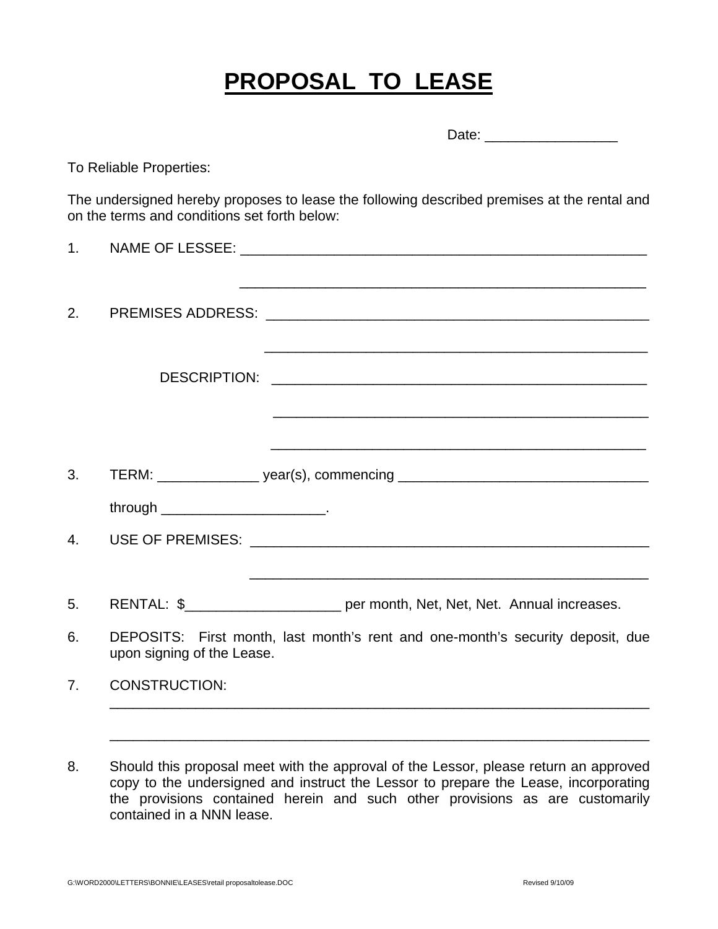## **PROPOSAL TO LEASE**

|    |                                                                                                              | Date: ________________________                                                              |  |
|----|--------------------------------------------------------------------------------------------------------------|---------------------------------------------------------------------------------------------|--|
|    | To Reliable Properties:                                                                                      |                                                                                             |  |
|    | on the terms and conditions set forth below:                                                                 | The undersigned hereby proposes to lease the following described premises at the rental and |  |
| 1. |                                                                                                              |                                                                                             |  |
| 2. |                                                                                                              |                                                                                             |  |
|    |                                                                                                              |                                                                                             |  |
|    |                                                                                                              |                                                                                             |  |
| 3. |                                                                                                              | TERM: __________________ year(s), commencing ___________________________________            |  |
|    |                                                                                                              |                                                                                             |  |
| 4. |                                                                                                              |                                                                                             |  |
| 5. |                                                                                                              | RENTAL: \$____________________________ per month, Net, Net, Net. Annual increases.          |  |
| 6. | DEPOSITS: First month, last month's rent and one-month's security deposit, due<br>upon signing of the Lease. |                                                                                             |  |
| 7. | <b>CONSTRUCTION:</b>                                                                                         |                                                                                             |  |
|    |                                                                                                              |                                                                                             |  |
|    |                                                                                                              |                                                                                             |  |

8. Should this proposal meet with the approval of the Lessor, please return an approved copy to the undersigned and instruct the Lessor to prepare the Lease, incorporating the provisions contained herein and such other provisions as are customarily contained in a NNN lease.